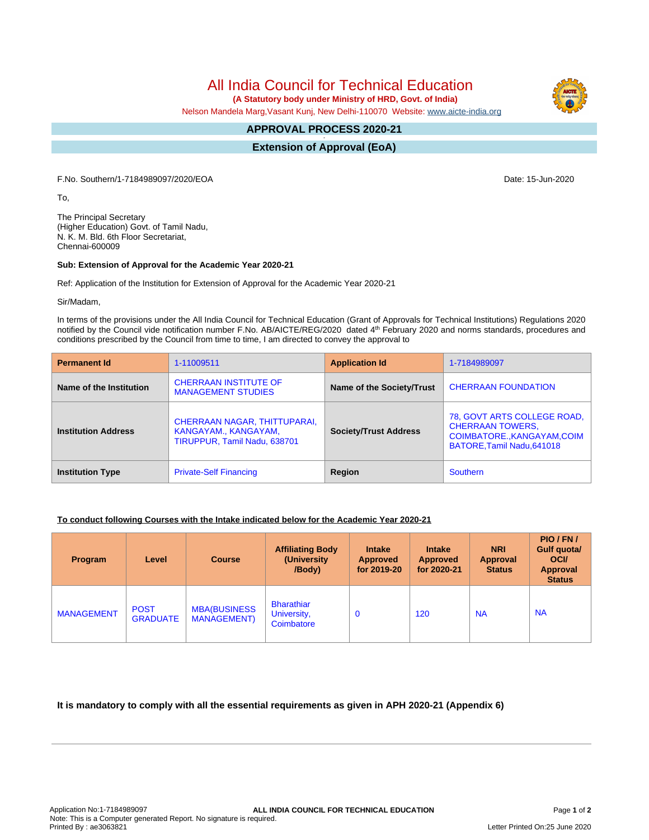All India Council for Technical Education

 **(A Statutory body under Ministry of HRD, Govt. of India)**

Nelson Mandela Marg,Vasant Kunj, New Delhi-110070 Website: [www.aicte-india.org](http://www.aicte-india.org)

#### **APPROVAL PROCESS 2020-21 -**

**Extension of Approval (EoA)**

F.No. Southern/1-7184989097/2020/EOA Date: 15-Jun-2020

To,

The Principal Secretary (Higher Education) Govt. of Tamil Nadu, N. K. M. Bld. 6th Floor Secretariat, Chennai-600009

#### **Sub: Extension of Approval for the Academic Year 2020-21**

Ref: Application of the Institution for Extension of Approval for the Academic Year 2020-21

Sir/Madam,

In terms of the provisions under the All India Council for Technical Education (Grant of Approvals for Technical Institutions) Regulations 2020 notified by the Council vide notification number F.No. AB/AICTE/REG/2020 dated 4<sup>th</sup> February 2020 and norms standards, procedures and conditions prescribed by the Council from time to time, I am directed to convey the approval to

| <b>Permanent Id</b>        | 1-11009511                                                                           | <b>Application Id</b>        | 1-7184989097                                                                                                        |  |
|----------------------------|--------------------------------------------------------------------------------------|------------------------------|---------------------------------------------------------------------------------------------------------------------|--|
| Name of the Institution    | <b>CHERRAAN INSTITUTE OF</b><br><b>MANAGEMENT STUDIES</b>                            | Name of the Society/Trust    | <b>CHERRAAN FOUNDATION</b>                                                                                          |  |
| <b>Institution Address</b> | CHERRAAN NAGAR, THITTUPARAI,<br>KANGAYAM., KANGAYAM,<br>TIRUPPUR, Tamil Nadu, 638701 | <b>Society/Trust Address</b> | 78, GOVT ARTS COLLEGE ROAD,<br><b>CHERRAAN TOWERS,</b><br>COIMBATORE., KANGAYAM, COIM<br>BATORE, Tamil Nadu, 641018 |  |
| <b>Institution Type</b>    | <b>Private-Self Financing</b>                                                        | Region                       | Southern                                                                                                            |  |

### **To conduct following Courses with the Intake indicated below for the Academic Year 2020-21**

| Program           | Level                          | <b>Course</b>                             | <b>Affiliating Body</b><br>(University)<br>/Body) | <b>Intake</b><br><b>Approved</b><br>for 2019-20 | <b>Intake</b><br><b>Approved</b><br>for 2020-21 | <b>NRI</b><br><b>Approval</b><br><b>Status</b> | PIO/FN/<br>Gulf quota/<br><b>OCI</b><br><b>Approval</b><br><b>Status</b> |
|-------------------|--------------------------------|-------------------------------------------|---------------------------------------------------|-------------------------------------------------|-------------------------------------------------|------------------------------------------------|--------------------------------------------------------------------------|
| <b>MANAGEMENT</b> | <b>POST</b><br><b>GRADUATE</b> | <b>MBA(BUSINESS</b><br><b>MANAGEMENT)</b> | <b>Bharathiar</b><br>University,<br>Coimbatore    | 0                                               | 120                                             | <b>NA</b>                                      | <b>NA</b>                                                                |

## **It is mandatory to comply with all the essential requirements as given in APH 2020-21 (Appendix 6)**